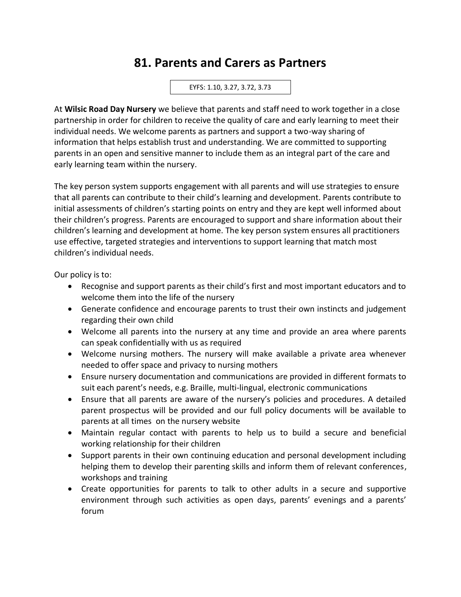## **81. Parents and Carers as Partners**

EYFS: 1.10, 3.27, 3.72, 3.73

At **Wilsic Road Day Nursery** we believe that parents and staff need to work together in a close partnership in order for children to receive the quality of care and early learning to meet their individual needs. We welcome parents as partners and support a two-way sharing of information that helps establish trust and understanding. We are committed to supporting parents in an open and sensitive manner to include them as an integral part of the care and early learning team within the nursery.

The key person system supports engagement with all parents and will use strategies to ensure that all parents can contribute to their child's learning and development. Parents contribute to initial assessments of children's starting points on entry and they are kept well informed about their children's progress. Parents are encouraged to support and share information about their children's learning and development at home. The key person system ensures all practitioners use effective, targeted strategies and interventions to support learning that match most children's individual needs.

Our policy is to:

- Recognise and support parents as their child's first and most important educators and to welcome them into the life of the nursery
- Generate confidence and encourage parents to trust their own instincts and judgement regarding their own child
- Welcome all parents into the nursery at any time and provide an area where parents can speak confidentially with us as required
- Welcome nursing mothers. The nursery will make available a private area whenever needed to offer space and privacy to nursing mothers
- Ensure nursery documentation and communications are provided in different formats to suit each parent's needs, e.g. Braille, multi-lingual, electronic communications
- Ensure that all parents are aware of the nursery's policies and procedures. A detailed parent prospectus will be provided and our full policy documents will be available to parents at all times on the nursery website
- Maintain regular contact with parents to help us to build a secure and beneficial working relationship for their children
- Support parents in their own continuing education and personal development including helping them to develop their parenting skills and inform them of relevant conferences, workshops and training
- Create opportunities for parents to talk to other adults in a secure and supportive environment through such activities as open days, parents' evenings and a parents' forum